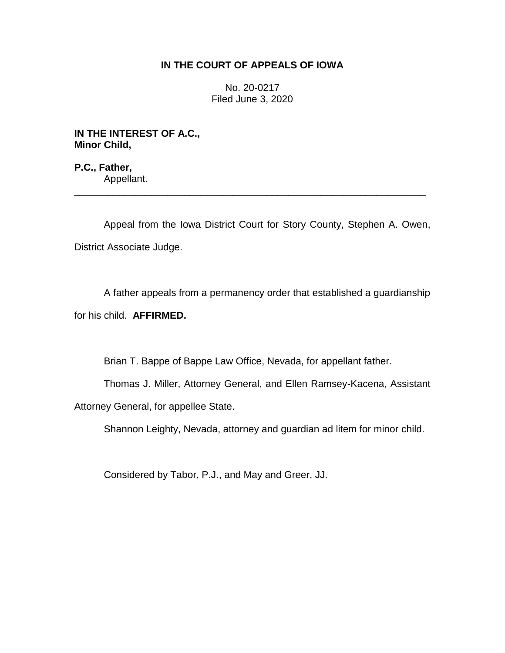## **IN THE COURT OF APPEALS OF IOWA**

No. 20-0217 Filed June 3, 2020

**IN THE INTEREST OF A.C., Minor Child,**

**P.C., Father,** Appellant.

Appeal from the Iowa District Court for Story County, Stephen A. Owen, District Associate Judge.

\_\_\_\_\_\_\_\_\_\_\_\_\_\_\_\_\_\_\_\_\_\_\_\_\_\_\_\_\_\_\_\_\_\_\_\_\_\_\_\_\_\_\_\_\_\_\_\_\_\_\_\_\_\_\_\_\_\_\_\_\_\_\_\_

A father appeals from a permanency order that established a guardianship for his child. **AFFIRMED.**

Brian T. Bappe of Bappe Law Office, Nevada, for appellant father.

Thomas J. Miller, Attorney General, and Ellen Ramsey-Kacena, Assistant

Attorney General, for appellee State.

Shannon Leighty, Nevada, attorney and guardian ad litem for minor child.

Considered by Tabor, P.J., and May and Greer, JJ.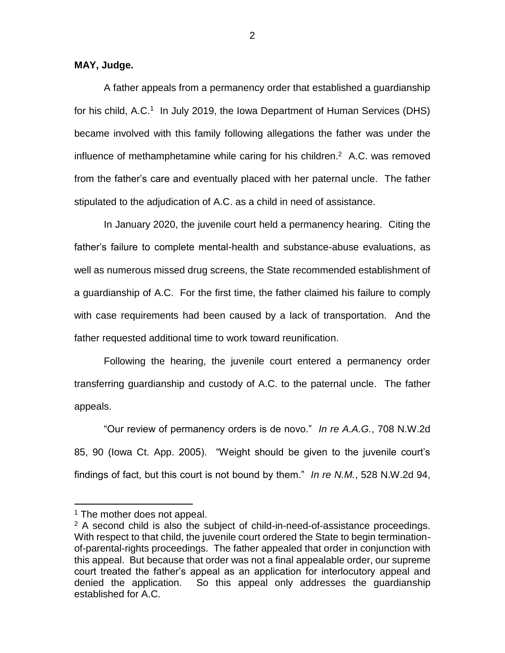**MAY, Judge.**

A father appeals from a permanency order that established a guardianship for his child, A.C.<sup>1</sup> In July 2019, the Iowa Department of Human Services (DHS) became involved with this family following allegations the father was under the influence of methamphetamine while caring for his children. 2 A.C. was removed from the father's care and eventually placed with her paternal uncle. The father stipulated to the adjudication of A.C. as a child in need of assistance.

In January 2020, the juvenile court held a permanency hearing. Citing the father's failure to complete mental-health and substance-abuse evaluations, as well as numerous missed drug screens, the State recommended establishment of a guardianship of A.C. For the first time, the father claimed his failure to comply with case requirements had been caused by a lack of transportation. And the father requested additional time to work toward reunification.

Following the hearing, the juvenile court entered a permanency order transferring guardianship and custody of A.C. to the paternal uncle. The father appeals.

"Our review of permanency orders is de novo." *In re A.A.G.*, 708 N.W.2d 85, 90 (Iowa Ct. App. 2005). "Weight should be given to the juvenile court's findings of fact, but this court is not bound by them." *In re N.M.*, 528 N.W.2d 94,

 $\overline{a}$ 

 $<sup>1</sup>$  The mother does not appeal.</sup>

 $2$  A second child is also the subject of child-in-need-of-assistance proceedings. With respect to that child, the juvenile court ordered the State to begin terminationof-parental-rights proceedings. The father appealed that order in conjunction with this appeal. But because that order was not a final appealable order, our supreme court treated the father's appeal as an application for interlocutory appeal and denied the application. So this appeal only addresses the guardianship established for A.C.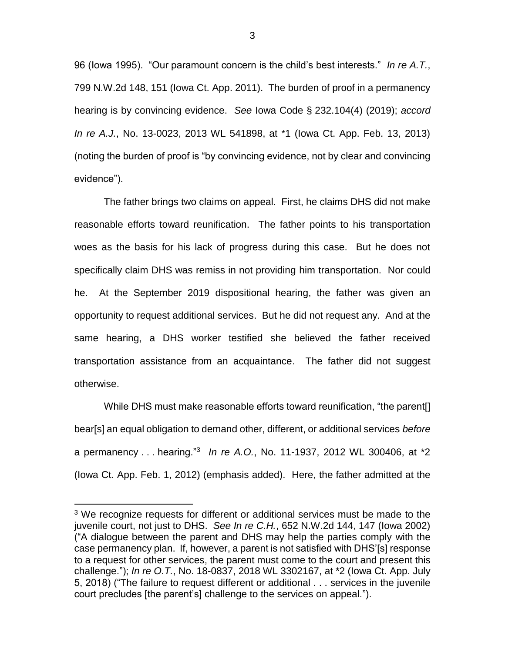96 (Iowa 1995). "Our paramount concern is the child's best interests." *In re A.T.*, 799 N.W.2d 148, 151 (Iowa Ct. App. 2011). The burden of proof in a permanency hearing is by convincing evidence. *See* Iowa Code § 232.104(4) (2019); *accord In re A.J.*, No. 13-0023, 2013 WL 541898, at \*1 (Iowa Ct. App. Feb. 13, 2013) (noting the burden of proof is "by convincing evidence, not by clear and convincing evidence").

The father brings two claims on appeal. First, he claims DHS did not make reasonable efforts toward reunification. The father points to his transportation woes as the basis for his lack of progress during this case. But he does not specifically claim DHS was remiss in not providing him transportation. Nor could he. At the September 2019 dispositional hearing, the father was given an opportunity to request additional services. But he did not request any. And at the same hearing, a DHS worker testified she believed the father received transportation assistance from an acquaintance. The father did not suggest otherwise.

While DHS must make reasonable efforts toward reunification, "the parent[] bear[s] an equal obligation to demand other, different, or additional services *before* a permanency . . . hearing."<sup>3</sup> *In re A.O.*, No. 11-1937, 2012 WL 300406, at \*2 (Iowa Ct. App. Feb. 1, 2012) (emphasis added). Here, the father admitted at the

 $\overline{a}$ 

3

<sup>&</sup>lt;sup>3</sup> We recognize requests for different or additional services must be made to the juvenile court, not just to DHS. *See In re C.H.*, 652 N.W.2d 144, 147 (Iowa 2002) ("A dialogue between the parent and DHS may help the parties comply with the case permanency plan. If, however, a parent is not satisfied with DHS'[s] response to a request for other services, the parent must come to the court and present this challenge."); *In re O.T.*, No. 18-0837, 2018 WL 3302167, at \*2 (Iowa Ct. App. July 5, 2018) ("The failure to request different or additional . . . services in the juvenile court precludes [the parent's] challenge to the services on appeal.").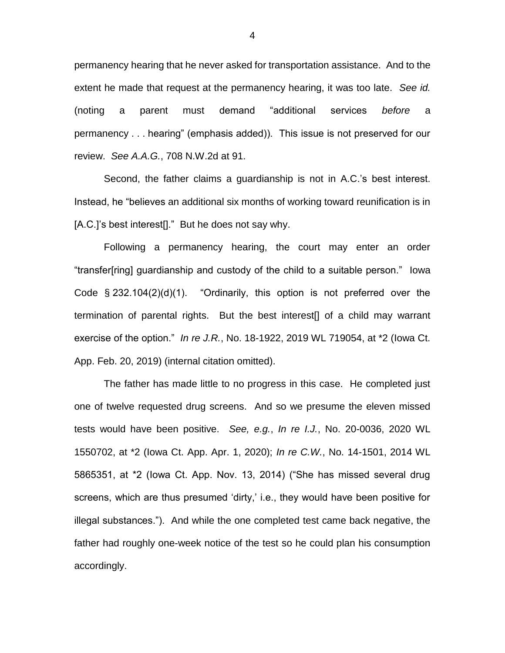permanency hearing that he never asked for transportation assistance. And to the extent he made that request at the permanency hearing, it was too late. *See id.*  (noting a parent must demand "additional services *before* a permanency . . . hearing" (emphasis added)). This issue is not preserved for our review. *See A.A.G.*, 708 N.W.2d at 91.

Second, the father claims a guardianship is not in A.C.'s best interest. Instead, he "believes an additional six months of working toward reunification is in [A.C.]'s best interest[]." But he does not say why.

Following a permanency hearing, the court may enter an order "transfer[ring] guardianship and custody of the child to a suitable person." Iowa Code  $\S$  232.104(2)(d)(1). "Ordinarily, this option is not preferred over the termination of parental rights. But the best interest[] of a child may warrant exercise of the option." *In re J.R.*, No. 18-1922, 2019 WL 719054, at \*2 (Iowa Ct. App. Feb. 20, 2019) (internal citation omitted).

The father has made little to no progress in this case. He completed just one of twelve requested drug screens. And so we presume the eleven missed tests would have been positive. *See, e.g.*, *In re I.J.*, No. 20-0036, 2020 WL 1550702, at \*2 (Iowa Ct. App. Apr. 1, 2020); *In re C.W.*, No. 14-1501, 2014 WL 5865351, at \*2 (Iowa Ct. App. Nov. 13, 2014) ("She has missed several drug screens, which are thus presumed 'dirty,' i.e., they would have been positive for illegal substances."). And while the one completed test came back negative, the father had roughly one-week notice of the test so he could plan his consumption accordingly.